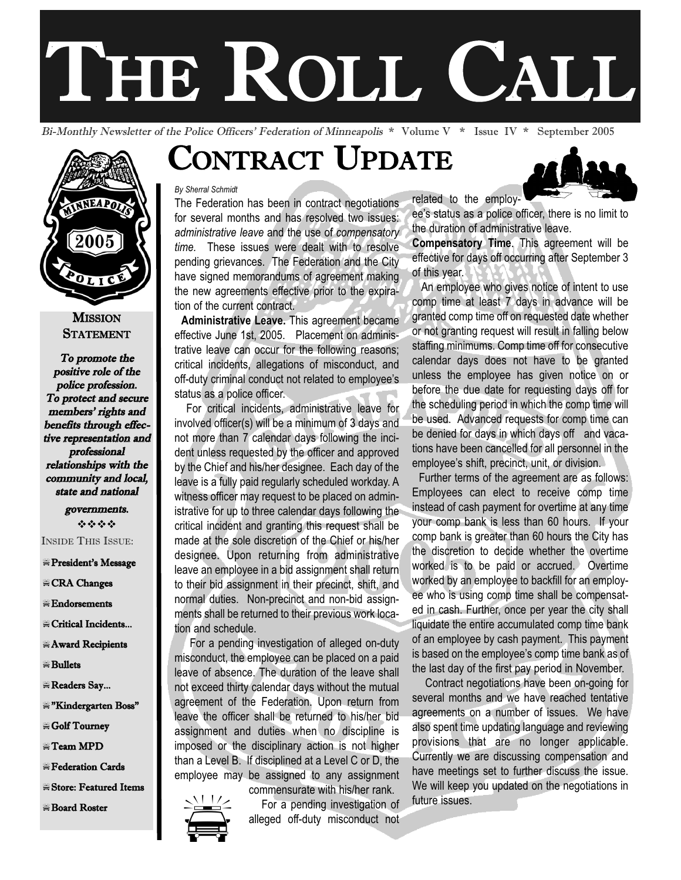# THE ROLL CALL

Bi-Monthly Newsletter of the Police Officers' Federation of Minneapolis \* Volume V \* Issue IV \* September 2005



#### **MISSION STATEMENT**

To promote the positive role of the police profession. To protect and secure members' rights and benefits through effective representation and professional relationships with the community and local, state and national

> governments. ----

INSIDE THIS ISSUE:

#### President's Message

- -CRA Changes
- $\equiv$ Endorsements
- -Critical Incidents...
- Award Recipients
- $\equiv$  Bullets
- Readers Say...
- #"Kindergarten Boss"
- $\equiv$  Golf Tourney
- $\equiv$ Team MPD
- -Federation Cards
- -Store: Featured Items
- -Board Roster

## CONTRACT UPDATE

#### *By Sherral Schmidt*

The Federation has been in contract negotiations for several months and has resolved two issues: *administrative leave* and the use of *compensatory time.* These issues were dealt with to resolve pending grievances. The Federation and the City have signed memorandums of agreement making the new agreements effective prior to the expiration of the current contract.

**Administrative Leave.** This agreement became effective June 1st, 2005. Placement on administrative leave can occur for the following reasons; critical incidents, allegations of misconduct, and off-duty criminal conduct not related to employee's status as a police officer.

For critical incidents, administrative leave for involved officer(s) will be a minimum of 3 days and not more than 7 calendar days following the incident unless requested by the officer and approved by the Chief and his/her designee. Each day of the leave is a fully paid regularly scheduled workday. A witness officer may request to be placed on administrative for up to three calendar days following the critical incident and granting this request shall be made at the sole discretion of the Chief or his/her designee. Upon returning from administrative leave an employee in a bid assignment shall return to their bid assignment in their precinct, shift, and normal duties. Non-precinct and non-bid assignments shall be returned to their previous work location and schedule.

For a pending investigation of alleged on-duty misconduct, the employee can be placed on a paid leave of absence. The duration of the leave shall not exceed thirty calendar days without the mutual agreement of the Federation. Upon return from leave the officer shall be returned to his/her bid assignment and duties when no discipline is imposed or the disciplinary action is not higher than a Level B. If disciplined at a Level C or D, the employee may be assigned to any assignment commensurate with his/her rank.

For a pending investigation of

Employee may be assigned to any assignment<br>commensurate with his/her rank. We will keep<br>For a pending investigation of future issues.<br>alleged off-duty misconduct not





ee's status as a police officer, there is no limit to the duration of administrative leave.

**Compensatory Time**. This agreement will be effective for days off occurring after September 3 of this year.

An employee who gives notice of intent to use comp time at least 7 days in advance will be granted comp time off on requested date whether or not granting request will result in falling below staffing minimums. Comp time off for consecutive calendar days does not have to be granted unless the employee has given notice on or before the due date for requesting days off for the scheduling period in which the comp time will be used. Advanced requests for comp time can be denied for days in which days off and vacations have been cancelled for all personnel in the employee's shift, precinct, unit, or division.

Further terms of the agreement are as follows: Employees can elect to receive comp time instead of cash payment for overtime at any time your comp bank is less than 60 hours. If your comp bank is greater than 60 hours the City has the discretion to decide whether the overtime worked is to be paid or accrued. Overtime worked by an employee to backfill for an employee who is using comp time shall be compensated in cash. Further, once per year the city shall liquidate the entire accumulated comp time bank of an employee by cash payment. This payment is based on the employee's comp time bank as of the last day of the first pay period in November.

Contract negotiations have been on-going for several months and we have reached tentative agreements on a number of issues. We have also spent time updating language and reviewing provisions that are no longer applicable. Currently we are discussing compensation and have meetings set to further discuss the issue. We will keep you updated on the negotiations in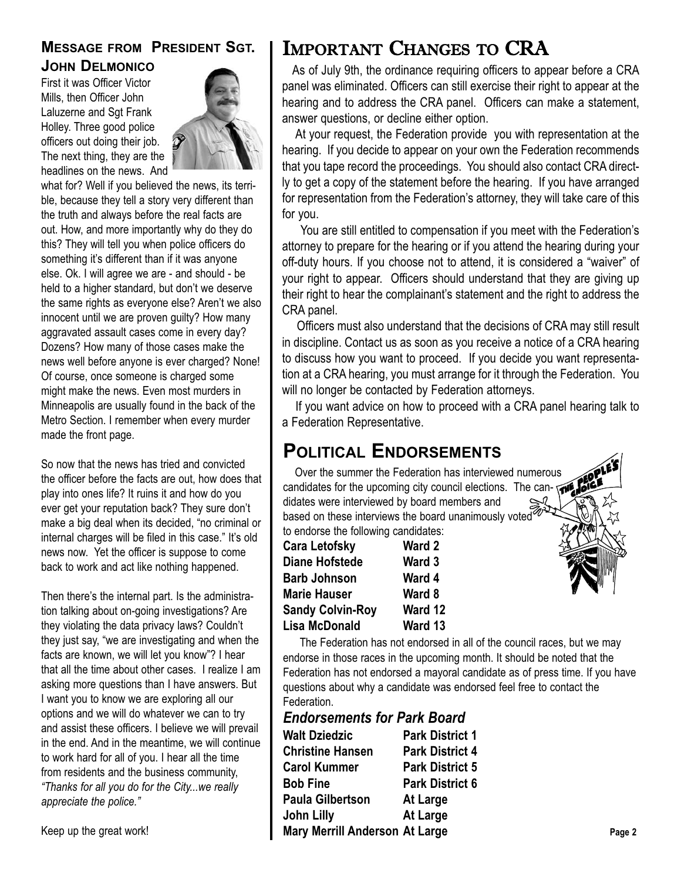### **MESSAGE FROM PRESIDENT SGT. JOHN DELMONICO**

First it was Officer Victor Mills, then Officer John Laluzerne and Sgt Frank Holley. Three good police officers out doing their job. The next thing, they are the headlines on the news. And



what for? Well if you believed the news, its terrible, because they tell a story very different than the truth and always before the real facts are out. How, and more importantly why do they do this? They will tell you when police officers do something it's different than if it was anyone else. Ok. I will agree we are - and should - be held to a higher standard, but don't we deserve the same rights as everyone else? Aren't we also innocent until we are proven guilty? How many aggravated assault cases come in every day? Dozens? How many of those cases make the news well before anyone is ever charged? None! Of course, once someone is charged some might make the news. Even most murders in Minneapolis are usually found in the back of the Metro Section. I remember when every murder made the front page.

So now that the news has tried and convicted the officer before the facts are out, how does that play into ones life? It ruins it and how do you ever get your reputation back? They sure don't make a big deal when its decided, "no criminal or internal charges will be filed in this case." It's old news now. Yet the officer is suppose to come back to work and act like nothing happened.

Then there's the internal part. Is the administration talking about on-going investigations? Are they violating the data privacy laws? Couldn't they just say, "we are investigating and when the facts are known, we will let you know"? I hear that all the time about other cases. I realize I am asking more questions than I have answers. But I want you to know we are exploring all our options and we will do whatever we can to try and assist these officers. I believe we will prevail in the end. And in the meantime, we will continue to work hard for all of you. I hear all the time from residents and the business community, *"Thanks for all you do for the City...we really appreciate the police."*

## IMPORTANT CHANGES TO CRA

As of July 9th, the ordinance requiring officers to appear before a CRA panel was eliminated. Officers can still exercise their right to appear at the hearing and to address the CRA panel. Officers can make a statement, answer questions, or decline either option.

At your request, the Federation provide you with representation at the hearing. If you decide to appear on your own the Federation recommends that you tape record the proceedings. You should also contact CRA directly to get a copy of the statement before the hearing. If you have arranged for representation from the Federation's attorney, they will take care of this for you.

You are still entitled to compensation if you meet with the Federation's attorney to prepare for the hearing or if you attend the hearing during your off-duty hours. If you choose not to attend, it is considered a "waiver" of your right to appear. Officers should understand that they are giving up their right to hear the complainant's statement and the right to address the CRA panel.

Officers must also understand that the decisions of CRA may still result in discipline. Contact us as soon as you receive a notice of a CRA hearing to discuss how you want to proceed. If you decide you want representation at a CRA hearing, you must arrange for it through the Federation. You will no longer be contacted by Federation attorneys.

If you want advice on how to proceed with a CRA panel hearing talk to a Federation Representative.

## **POLITICAL ENDORSEMENTS**

Over the summer the Federation has interviewed numerous candidates for the upcoming city council elections. The candidates were interviewed by board members and based on these interviews the board unanimously voted to endorse the following candidates:

| <b>Cara Letofsky</b>    | Ward 2  |
|-------------------------|---------|
| <b>Diane Hofstede</b>   | Ward 3  |
| <b>Barb Johnson</b>     | Ward 4  |
| <b>Marie Hauser</b>     | Ward 8  |
| <b>Sandy Colvin-Roy</b> | Ward 12 |
| <b>Lisa McDonald</b>    | Ward 13 |

The Federation has not endorsed in all of the council races, but we may endorse in those races in the upcoming month. It should be noted that the Federation has not endorsed a mayoral candidate as of press time. If you have questions about why a candidate was endorsed feel free to contact the Federation.

| <b>Endorsements for Park Board</b>    |                        |        |
|---------------------------------------|------------------------|--------|
| <b>Walt Dziedzic</b>                  | <b>Park District 1</b> |        |
| <b>Christine Hansen</b>               | <b>Park District 4</b> |        |
| <b>Carol Kummer</b>                   | <b>Park District 5</b> |        |
| <b>Bob Fine</b>                       | <b>Park District 6</b> |        |
| <b>Paula Gilbertson</b>               | At Large               |        |
| John Lilly                            | At Large               |        |
| <b>Mary Merrill Anderson At Large</b> |                        | Page 2 |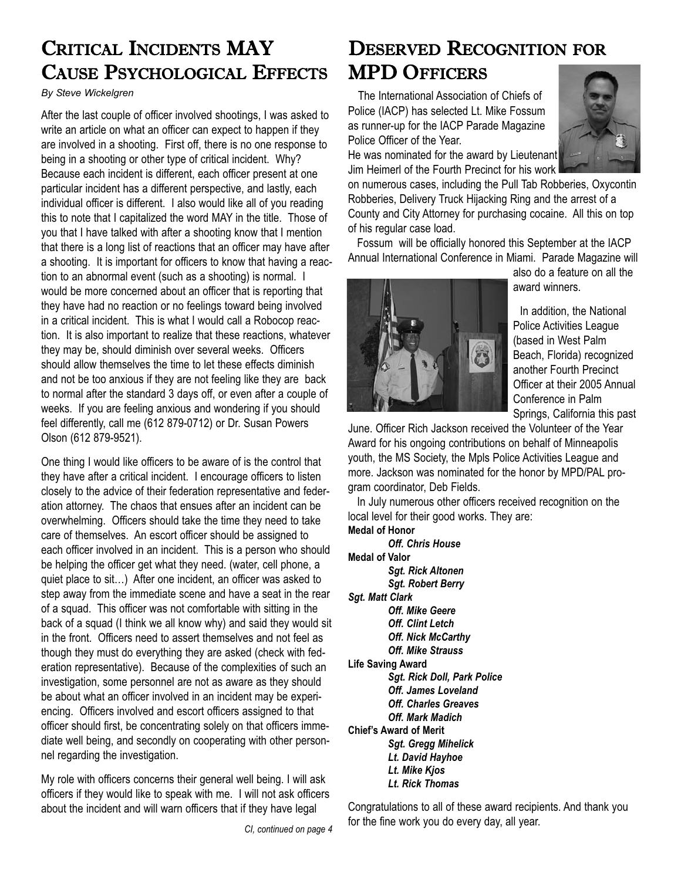## CRITICAL INCIDENTS MAY CAUSE PSYCHOLOGICAL EFFECTS

*By Steve Wickelgren*

After the last couple of officer involved shootings, I was asked to write an article on what an officer can expect to happen if they are involved in a shooting. First off, there is no one response to being in a shooting or other type of critical incident. Why? Because each incident is different, each officer present at one particular incident has a different perspective, and lastly, each individual officer is different. I also would like all of you reading this to note that I capitalized the word MAY in the title. Those of you that I have talked with after a shooting know that I mention that there is a long list of reactions that an officer may have after a shooting. It is important for officers to know that having a reaction to an abnormal event (such as a shooting) is normal. I would be more concerned about an officer that is reporting that they have had no reaction or no feelings toward being involved in a critical incident. This is what I would call a Robocop reaction. It is also important to realize that these reactions, whatever they may be, should diminish over several weeks. Officers should allow themselves the time to let these effects diminish and not be too anxious if they are not feeling like they are back to normal after the standard 3 days off, or even after a couple of weeks. If you are feeling anxious and wondering if you should feel differently, call me (612 879-0712) or Dr. Susan Powers Olson (612 879-9521).

One thing I would like officers to be aware of is the control that they have after a critical incident. I encourage officers to listen closely to the advice of their federation representative and federation attorney. The chaos that ensues after an incident can be overwhelming. Officers should take the time they need to take care of themselves. An escort officer should be assigned to each officer involved in an incident. This is a person who should be helping the officer get what they need. (water, cell phone, a quiet place to sit…) After one incident, an officer was asked to step away from the immediate scene and have a seat in the rear of a squad. This officer was not comfortable with sitting in the back of a squad (I think we all know why) and said they would sit in the front. Officers need to assert themselves and not feel as though they must do everything they are asked (check with federation representative). Because of the complexities of such an investigation, some personnel are not as aware as they should be about what an officer involved in an incident may be experiencing. Officers involved and escort officers assigned to that officer should first, be concentrating solely on that officers immediate well being, and secondly on cooperating with other personnel regarding the investigation.

My role with officers concerns their general well being. I will ask officers if they would like to speak with me. I will not ask officers about the incident and will warn officers that if they have legal

## DESERVED RECOGNITION FOR **MPD OFFICERS**

The International Association of Chiefs of Police (IACP) has selected Lt. Mike Fossum as runner-up for the IACP Parade Magazine Police Officer of the Year.



He was nominated for the award by Lieutenant Jim Heimerl of the Fourth Precinct for his work

on numerous cases, including the Pull Tab Robberies, Oxycontin Robberies, Delivery Truck Hijacking Ring and the arrest of a County and City Attorney for purchasing cocaine. All this on top of his regular case load.

Fossum will be officially honored this September at the IACP Annual International Conference in Miami. Parade Magazine will



also do a feature on all the award winners.

In addition, the National Police Activities League (based in West Palm Beach, Florida) recognized another Fourth Precinct Officer at their 2005 Annual Conference in Palm Springs, California this past

June. Officer Rich Jackson received the Volunteer of the Year Award for his ongoing contributions on behalf of Minneapolis youth, the MS Society, the Mpls Police Activities League and more. Jackson was nominated for the honor by MPD/PAL program coordinator, Deb Fields.

In July numerous other officers received recognition on the local level for their good works. They are:

**Medal of Honor**  *Off. Chris House*  **Medal of Valor** *Sgt. Rick Altonen Sgt. Robert Berry Sgt. Matt Clark Off. Mike Geere Off. Clint Letch Off. Nick McCarthy Off. Mike Strauss* **Life Saving Award**  *Sgt. Rick Doll, Park Police Off. James Loveland Off. Charles Greaves Off. Mark Madich*  **Chief's Award of Merit** *Sgt. Gregg Mihelick Lt. David Hayhoe Lt. Mike Kjos Lt. Rick Thomas*

Congratulations to all of these award recipients. And thank you for the fine work you do every day, all year.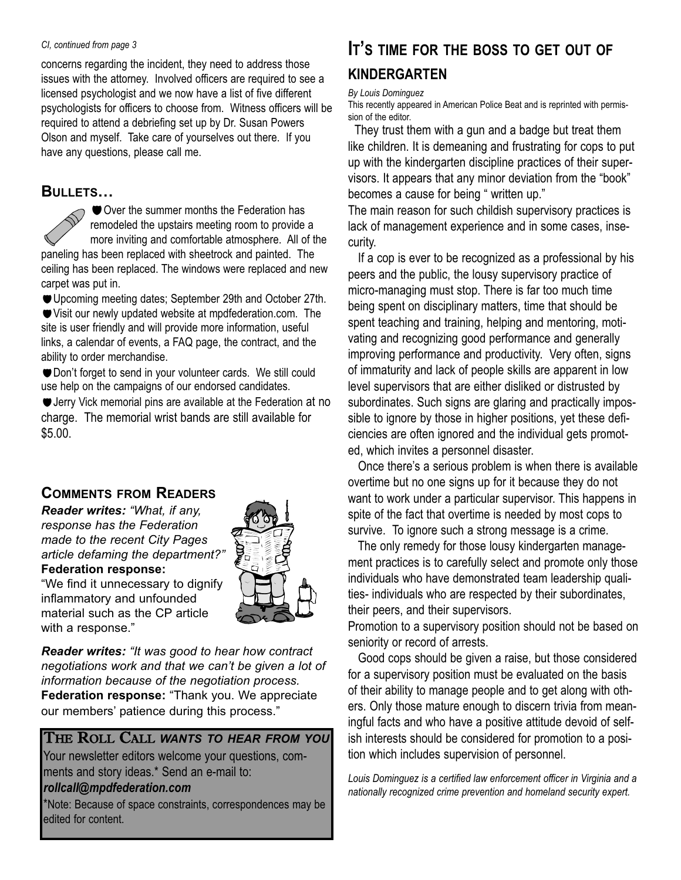#### *CI, continued from page 3*

concerns regarding the incident, they need to address those issues with the attorney. Involved officers are required to see a licensed psychologist and we now have a list of five different psychologists for officers to choose from. Witness officers will be required to attend a debriefing set up by Dr. Susan Powers Olson and myself. Take care of yourselves out there. If you have any questions, please call me.

#### **BULLETS…**

 $\bigcirc$   $\bigcirc$  Over the summer months the Federation has remodeled the upstairs meeting room to provide a more inviting and comfortable atmosphere. All of the paneling has been replaced with sheetrock and painted. The ceiling has been replaced. The windows were replaced and new carpet was put in.

Upcoming meeting dates; September 29th and October 27th. Visit our newly updated website at mpdfederation.com. The site is user friendly and will provide more information, useful links, a calendar of events, a FAQ page, the contract, and the ability to order merchandise.

Don't forget to send in your volunteer cards. We still could use help on the campaigns of our endorsed candidates.

Jerry Vick memorial pins are available at the Federation at no charge. The memorial wrist bands are still available for \$5.00.

#### **COMMENTS FROM READERS**

*Reader writes: "What, if any, response has the Federation made to the recent City Pages article defaming the department?"* **Federation response:**



"We find it unnecessary to dignify inflammatory and unfounded material such as the CP article with a response."

*Reader writes: "It was good to hear how contract negotiations work and that we can't be given a lot of information because of the negotiation process.* **Federation response:** "Thank you. We appreciate our members' patience during this process."

THE ROLL CALL *WANTS TO HEAR FROM YOU* Your newsletter editors welcome your questions, comments and story ideas.\* Send an e-mail to:

#### *rollcall@mpdfederation.com*

\*Note: Because of space constraints, correspondences may be edited for content.

## **IT'S TIME FOR THE BOSS TO GET OUT OF KINDERGARTEN**

#### *By Louis Dominguez*

This recently appeared in American Police Beat and is reprinted with permission of the editor.

They trust them with a gun and a badge but treat them like children. It is demeaning and frustrating for cops to put up with the kindergarten discipline practices of their supervisors. It appears that any minor deviation from the "book" becomes a cause for being " written up."

The main reason for such childish supervisory practices is lack of management experience and in some cases, insecurity.

If a cop is ever to be recognized as a professional by his peers and the public, the lousy supervisory practice of micro-managing must stop. There is far too much time being spent on disciplinary matters, time that should be spent teaching and training, helping and mentoring, motivating and recognizing good performance and generally improving performance and productivity. Very often, signs of immaturity and lack of people skills are apparent in low level supervisors that are either disliked or distrusted by subordinates. Such signs are glaring and practically impossible to ignore by those in higher positions, yet these deficiencies are often ignored and the individual gets promoted, which invites a personnel disaster.

Once there's a serious problem is when there is available overtime but no one signs up for it because they do not want to work under a particular supervisor. This happens in spite of the fact that overtime is needed by most cops to survive. To ignore such a strong message is a crime.

The only remedy for those lousy kindergarten management practices is to carefully select and promote only those individuals who have demonstrated team leadership qualities- individuals who are respected by their subordinates, their peers, and their supervisors.

Promotion to a supervisory position should not be based on seniority or record of arrests.

Good cops should be given a raise, but those considered for a supervisory position must be evaluated on the basis of their ability to manage people and to get along with others. Only those mature enough to discern trivia from meaningful facts and who have a positive attitude devoid of selfish interests should be considered for promotion to a position which includes supervision of personnel.

*Louis Dominguez is a certified law enforcement officer in Virginia and a nationally recognized crime prevention and homeland security expert.*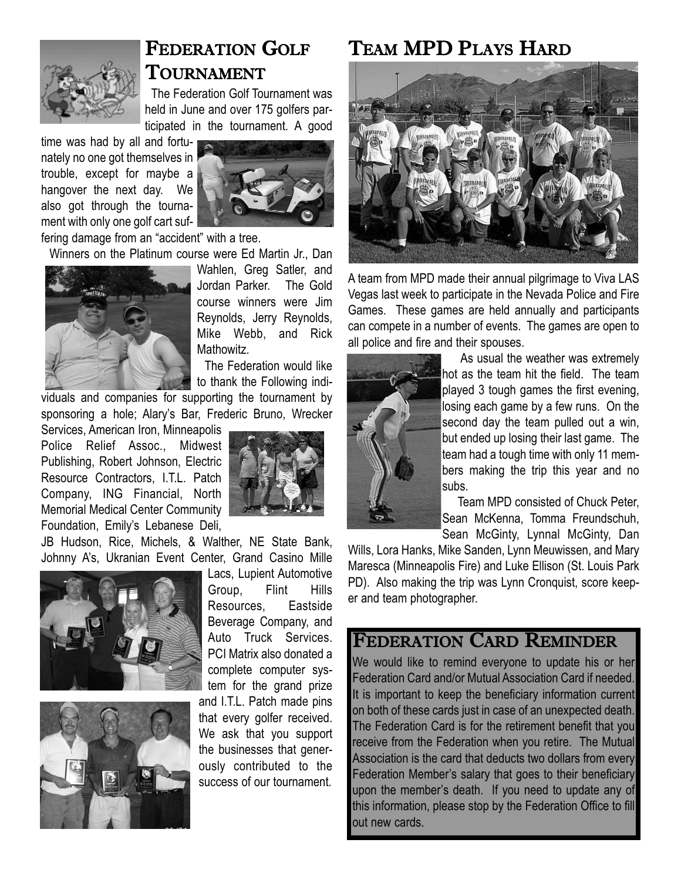

## FEDERATION GOLF TOURNAMENT

The Federation Golf Tournament was held in June and over 175 golfers participated in the tournament. A good

time was had by all and fortunately no one got themselves in trouble, except for maybe a hangover the next day. We also got through the tournament with only one golf cart suf-



fering damage from an "accident" with a tree.

Winners on the Platinum course were Ed Martin Jr., Dan



Wahlen, Greg Satler, and Jordan Parker. The Gold course winners were Jim Reynolds, Jerry Reynolds, Mike Webb, and Rick Mathowitz.

The Federation would like to thank the Following indi-

viduals and companies for supporting the tournament by sponsoring a hole; Alary's Bar, Frederic Bruno, Wrecker

Services, American Iron, Minneapolis Police Relief Assoc., Midwest Publishing, Robert Johnson, Electric Resource Contractors, I.T.L. Patch Company, ING Financial, North Memorial Medical Center Community Foundation, Emily's Lebanese Deli,

JB Hudson, Rice, Michels, & Walther, NE State Bank, Johnny A's, Ukranian Event Center, Grand Casino Mille





Lacs, Lupient Automotive Group, Flint Hills Resources, Eastside Beverage Company, and Auto Truck Services. PCI Matrix also donated a complete computer system for the grand prize and I.T.L. Patch made pins that every golfer received. We ask that you support the businesses that generously contributed to the success of our tournament.

## TEAM MPD PLAYS HARD



A team from MPD made their annual pilgrimage to Viva LAS Vegas last week to participate in the Nevada Police and Fire Games. These games are held annually and participants can compete in a number of events. The games are open to all police and fire and their spouses.



As usual the weather was extremely hot as the team hit the field. The team played 3 tough games the first evening, losing each game by a few runs. On the second day the team pulled out a win, but ended up losing their last game. The team had a tough time with only 11 members making the trip this year and no subs.

Team MPD consisted of Chuck Peter, Sean McKenna, Tomma Freundschuh, Sean McGinty, Lynnal McGinty, Dan

Wills, Lora Hanks, Mike Sanden, Lynn Meuwissen, and Mary Maresca (Minneapolis Fire) and Luke Ellison (St. Louis Park PD). Also making the trip was Lynn Cronquist, score keeper and team photographer.

## FEDERATION CARD REMINDER

We would like to remind everyone to update his or her Federation Card and/or Mutual Association Card if needed. It is important to keep the beneficiary information current on both of these cards just in case of an unexpected death. The Federation Card is for the retirement benefit that you receive from the Federation when you retire. The Mutual Association is the card that deducts two dollars from every Federation Member's salary that goes to their beneficiary upon the member's death. If you need to update any of this information, please stop by the Federation Office to fill out new cards.